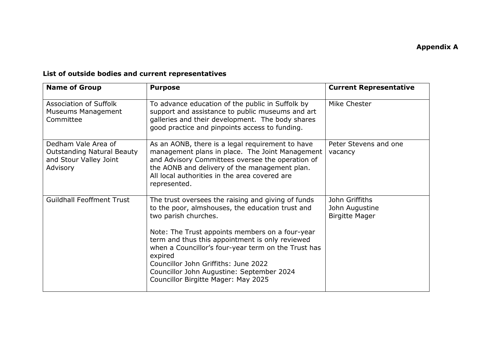## **List of outside bodies and current representatives**

| <b>Name of Group</b>                                                                           | <b>Purpose</b>                                                                                                                                                                                                                                                                                                                                                                                                                     | <b>Current Representative</b>                             |
|------------------------------------------------------------------------------------------------|------------------------------------------------------------------------------------------------------------------------------------------------------------------------------------------------------------------------------------------------------------------------------------------------------------------------------------------------------------------------------------------------------------------------------------|-----------------------------------------------------------|
| Association of Suffolk<br>Museums Management<br>Committee                                      | To advance education of the public in Suffolk by<br>support and assistance to public museums and art<br>galleries and their development. The body shares<br>good practice and pinpoints access to funding.                                                                                                                                                                                                                         | Mike Chester                                              |
| Dedham Vale Area of<br><b>Outstanding Natural Beauty</b><br>and Stour Valley Joint<br>Advisory | As an AONB, there is a legal requirement to have<br>management plans in place. The Joint Management<br>and Advisory Committees oversee the operation of<br>the AONB and delivery of the management plan.<br>All local authorities in the area covered are<br>represented.                                                                                                                                                          | Peter Stevens and one<br>vacancy                          |
| <b>Guildhall Feoffment Trust</b>                                                               | The trust oversees the raising and giving of funds<br>to the poor, almshouses, the education trust and<br>two parish churches.<br>Note: The Trust appoints members on a four-year<br>term and thus this appointment is only reviewed<br>when a Councillor's four-year term on the Trust has<br>expired<br>Councillor John Griffiths: June 2022<br>Councillor John Augustine: September 2024<br>Councillor Birgitte Mager: May 2025 | John Griffiths<br>John Augustine<br><b>Birgitte Mager</b> |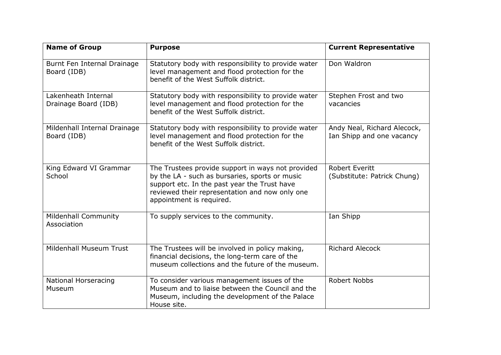| <b>Name of Group</b>                        | <b>Purpose</b>                                                                                                                                                                                                                    | <b>Current Representative</b>                            |
|---------------------------------------------|-----------------------------------------------------------------------------------------------------------------------------------------------------------------------------------------------------------------------------------|----------------------------------------------------------|
| Burnt Fen Internal Drainage<br>Board (IDB)  | Statutory body with responsibility to provide water<br>level management and flood protection for the<br>benefit of the West Suffolk district.                                                                                     | Don Waldron                                              |
| Lakenheath Internal<br>Drainage Board (IDB) | Statutory body with responsibility to provide water<br>level management and flood protection for the<br>benefit of the West Suffolk district.                                                                                     | Stephen Frost and two<br>vacancies                       |
| Mildenhall Internal Drainage<br>Board (IDB) | Statutory body with responsibility to provide water<br>level management and flood protection for the<br>benefit of the West Suffolk district.                                                                                     | Andy Neal, Richard Alecock,<br>Ian Shipp and one vacancy |
| King Edward VI Grammar<br>School            | The Trustees provide support in ways not provided<br>by the LA - such as bursaries, sports or music<br>support etc. In the past year the Trust have<br>reviewed their representation and now only one<br>appointment is required. | <b>Robert Everitt</b><br>(Substitute: Patrick Chung)     |
| <b>Mildenhall Community</b><br>Association  | To supply services to the community.                                                                                                                                                                                              | Ian Shipp                                                |
| Mildenhall Museum Trust                     | The Trustees will be involved in policy making,<br>financial decisions, the long-term care of the<br>museum collections and the future of the museum.                                                                             | <b>Richard Alecock</b>                                   |
| <b>National Horseracing</b><br>Museum       | To consider various management issues of the<br>Museum and to liaise between the Council and the<br>Museum, including the development of the Palace<br>House site.                                                                | <b>Robert Nobbs</b>                                      |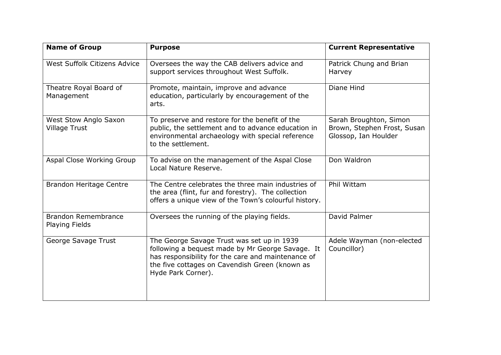| <b>Name of Group</b>                                | <b>Purpose</b>                                                                                                                                                                                                               | <b>Current Representative</b>                                                 |
|-----------------------------------------------------|------------------------------------------------------------------------------------------------------------------------------------------------------------------------------------------------------------------------------|-------------------------------------------------------------------------------|
| West Suffolk Citizens Advice                        | Oversees the way the CAB delivers advice and<br>support services throughout West Suffolk.                                                                                                                                    | Patrick Chung and Brian<br>Harvey                                             |
| Theatre Royal Board of<br>Management                | Promote, maintain, improve and advance<br>education, particularly by encouragement of the<br>arts.                                                                                                                           | Diane Hind                                                                    |
| West Stow Anglo Saxon<br><b>Village Trust</b>       | To preserve and restore for the benefit of the<br>public, the settlement and to advance education in<br>environmental archaeology with special reference<br>to the settlement.                                               | Sarah Broughton, Simon<br>Brown, Stephen Frost, Susan<br>Glossop, Ian Houlder |
| Aspal Close Working Group                           | To advise on the management of the Aspal Close<br>Local Nature Reserve.                                                                                                                                                      | Don Waldron                                                                   |
| <b>Brandon Heritage Centre</b>                      | The Centre celebrates the three main industries of<br>the area (flint, fur and forestry). The collection<br>offers a unique view of the Town's colourful history.                                                            | Phil Wittam                                                                   |
| <b>Brandon Remembrance</b><br><b>Playing Fields</b> | Oversees the running of the playing fields.                                                                                                                                                                                  | David Palmer                                                                  |
| George Savage Trust                                 | The George Savage Trust was set up in 1939<br>following a bequest made by Mr George Savage. It<br>has responsibility for the care and maintenance of<br>the five cottages on Cavendish Green (known as<br>Hyde Park Corner). | Adele Wayman (non-elected<br>Councillor)                                      |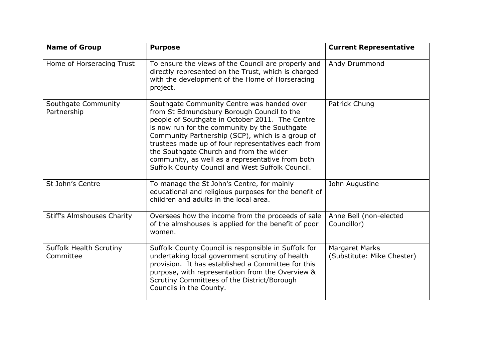| <b>Name of Group</b>                        | <b>Purpose</b>                                                                                                                                                                                                                                                                                                                                                                                                                                            | <b>Current Representative</b>                       |
|---------------------------------------------|-----------------------------------------------------------------------------------------------------------------------------------------------------------------------------------------------------------------------------------------------------------------------------------------------------------------------------------------------------------------------------------------------------------------------------------------------------------|-----------------------------------------------------|
| Home of Horseracing Trust                   | To ensure the views of the Council are properly and<br>directly represented on the Trust, which is charged<br>with the development of the Home of Horseracing<br>project.                                                                                                                                                                                                                                                                                 | Andy Drummond                                       |
| Southgate Community<br>Partnership          | Southgate Community Centre was handed over<br>from St Edmundsbury Borough Council to the<br>people of Southgate in October 2011. The Centre<br>is now run for the community by the Southgate<br>Community Partnership (SCP), which is a group of<br>trustees made up of four representatives each from<br>the Southgate Church and from the wider<br>community, as well as a representative from both<br>Suffolk County Council and West Suffolk Council. | Patrick Chung                                       |
| St John's Centre                            | To manage the St John's Centre, for mainly<br>educational and religious purposes for the benefit of<br>children and adults in the local area.                                                                                                                                                                                                                                                                                                             | John Augustine                                      |
| <b>Stiff's Almshouses Charity</b>           | Oversees how the income from the proceeds of sale<br>of the almshouses is applied for the benefit of poor<br>women.                                                                                                                                                                                                                                                                                                                                       | Anne Bell (non-elected<br>Councillor)               |
| <b>Suffolk Health Scrutiny</b><br>Committee | Suffolk County Council is responsible in Suffolk for<br>undertaking local government scrutiny of health<br>provision. It has established a Committee for this<br>purpose, with representation from the Overview &<br>Scrutiny Committees of the District/Borough<br>Councils in the County.                                                                                                                                                               | <b>Margaret Marks</b><br>(Substitute: Mike Chester) |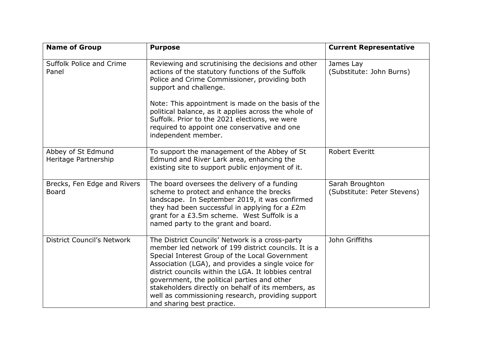| <b>Name of Group</b>                        | <b>Purpose</b>                                                                                                                                                                                                                                                                                                                                                                                                                                                  | <b>Current Representative</b>                  |
|---------------------------------------------|-----------------------------------------------------------------------------------------------------------------------------------------------------------------------------------------------------------------------------------------------------------------------------------------------------------------------------------------------------------------------------------------------------------------------------------------------------------------|------------------------------------------------|
| Suffolk Police and Crime<br>Panel           | Reviewing and scrutinising the decisions and other<br>actions of the statutory functions of the Suffolk<br>Police and Crime Commissioner, providing both<br>support and challenge.<br>Note: This appointment is made on the basis of the<br>political balance, as it applies across the whole of<br>Suffolk. Prior to the 2021 elections, we were<br>required to appoint one conservative and one<br>independent member.                                        | James Lay<br>(Substitute: John Burns)          |
| Abbey of St Edmund<br>Heritage Partnership  | To support the management of the Abbey of St<br>Edmund and River Lark area, enhancing the<br>existing site to support public enjoyment of it.                                                                                                                                                                                                                                                                                                                   | <b>Robert Everitt</b>                          |
| Brecks, Fen Edge and Rivers<br><b>Board</b> | The board oversees the delivery of a funding<br>scheme to protect and enhance the brecks<br>landscape. In September 2019, it was confirmed<br>they had been successful in applying for a £2m<br>grant for a £3.5m scheme. West Suffolk is a<br>named party to the grant and board.                                                                                                                                                                              | Sarah Broughton<br>(Substitute: Peter Stevens) |
| <b>District Council's Network</b>           | The District Councils' Network is a cross-party<br>member led network of 199 district councils. It is a<br>Special Interest Group of the Local Government<br>Association (LGA), and provides a single voice for<br>district councils within the LGA. It lobbies central<br>government, the political parties and other<br>stakeholders directly on behalf of its members, as<br>well as commissioning research, providing support<br>and sharing best practice. | John Griffiths                                 |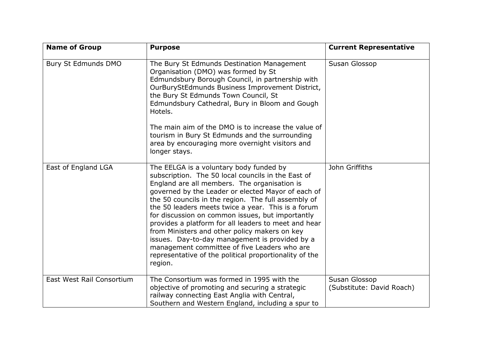| <b>Name of Group</b>      | <b>Purpose</b>                                                                                                                                                                                                                                                                                                                                                                                                                                                                                                                                                                                                                                       | <b>Current Representative</b>              |
|---------------------------|------------------------------------------------------------------------------------------------------------------------------------------------------------------------------------------------------------------------------------------------------------------------------------------------------------------------------------------------------------------------------------------------------------------------------------------------------------------------------------------------------------------------------------------------------------------------------------------------------------------------------------------------------|--------------------------------------------|
| Bury St Edmunds DMO       | The Bury St Edmunds Destination Management<br>Organisation (DMO) was formed by St<br>Edmundsbury Borough Council, in partnership with<br>OurBuryStEdmunds Business Improvement District,<br>the Bury St Edmunds Town Council, St<br>Edmundsbury Cathedral, Bury in Bloom and Gough<br>Hotels.<br>The main aim of the DMO is to increase the value of<br>tourism in Bury St Edmunds and the surrounding<br>area by encouraging more overnight visitors and<br>longer stays.                                                                                                                                                                           | Susan Glossop                              |
| East of England LGA       | The EELGA is a voluntary body funded by<br>subscription. The 50 local councils in the East of<br>England are all members. The organisation is<br>governed by the Leader or elected Mayor of each of<br>the 50 councils in the region. The full assembly of<br>the 50 leaders meets twice a year. This is a forum<br>for discussion on common issues, but importantly<br>provides a platform for all leaders to meet and hear<br>from Ministers and other policy makers on key<br>issues. Day-to-day management is provided by a<br>management committee of five Leaders who are<br>representative of the political proportionality of the<br>region. | John Griffiths                             |
| East West Rail Consortium | The Consortium was formed in 1995 with the<br>objective of promoting and securing a strategic<br>railway connecting East Anglia with Central,<br>Southern and Western England, including a spur to                                                                                                                                                                                                                                                                                                                                                                                                                                                   | Susan Glossop<br>(Substitute: David Roach) |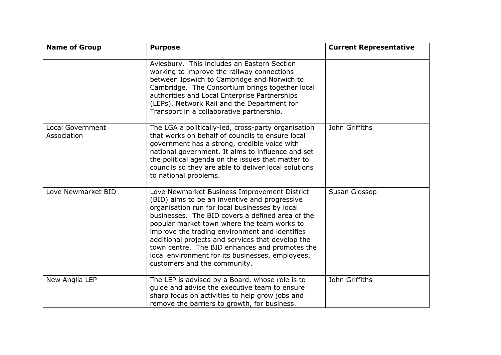| <b>Name of Group</b>                   | <b>Purpose</b>                                                                                                                                                                                                                                                                                                                                                                                                                                                                                  | <b>Current Representative</b> |
|----------------------------------------|-------------------------------------------------------------------------------------------------------------------------------------------------------------------------------------------------------------------------------------------------------------------------------------------------------------------------------------------------------------------------------------------------------------------------------------------------------------------------------------------------|-------------------------------|
|                                        | Aylesbury. This includes an Eastern Section<br>working to improve the railway connections<br>between Ipswich to Cambridge and Norwich to<br>Cambridge. The Consortium brings together local<br>authorities and Local Enterprise Partnerships<br>(LEPs), Network Rail and the Department for<br>Transport in a collaborative partnership.                                                                                                                                                        |                               |
| <b>Local Government</b><br>Association | The LGA a politically-led, cross-party organisation<br>that works on behalf of councils to ensure local<br>government has a strong, credible voice with<br>national government. It aims to influence and set<br>the political agenda on the issues that matter to<br>councils so they are able to deliver local solutions<br>to national problems.                                                                                                                                              | John Griffiths                |
| Love Newmarket BID                     | Love Newmarket Business Improvement District<br>(BID) aims to be an inventive and progressive<br>organisation run for local businesses by local<br>businesses. The BID covers a defined area of the<br>popular market town where the team works to<br>improve the trading environment and identifies<br>additional projects and services that develop the<br>town centre. The BID enhances and promotes the<br>local environment for its businesses, employees,<br>customers and the community. | Susan Glossop                 |
| New Anglia LEP                         | The LEP is advised by a Board, whose role is to<br>quide and advise the executive team to ensure<br>sharp focus on activities to help grow jobs and<br>remove the barriers to growth, for business.                                                                                                                                                                                                                                                                                             | John Griffiths                |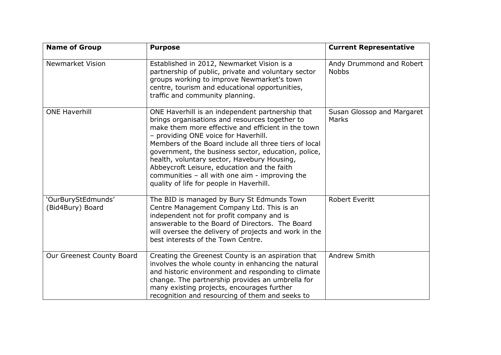| <b>Name of Group</b>                   | <b>Purpose</b>                                                                                                                                                                                                                                                                                                                                                                                                                                                                                                   | <b>Current Representative</b>            |
|----------------------------------------|------------------------------------------------------------------------------------------------------------------------------------------------------------------------------------------------------------------------------------------------------------------------------------------------------------------------------------------------------------------------------------------------------------------------------------------------------------------------------------------------------------------|------------------------------------------|
| <b>Newmarket Vision</b>                | Established in 2012, Newmarket Vision is a<br>partnership of public, private and voluntary sector<br>groups working to improve Newmarket's town<br>centre, tourism and educational opportunities,<br>traffic and community planning.                                                                                                                                                                                                                                                                             | Andy Drummond and Robert<br><b>Nobbs</b> |
| <b>ONE Haverhill</b>                   | ONE Haverhill is an independent partnership that<br>brings organisations and resources together to<br>make them more effective and efficient in the town<br>- providing ONE voice for Haverhill.<br>Members of the Board include all three tiers of local<br>government, the business sector, education, police,<br>health, voluntary sector, Havebury Housing,<br>Abbeycroft Leisure, education and the faith<br>communities $-$ all with one aim $-$ improving the<br>quality of life for people in Haverhill. | Susan Glossop and Margaret<br>Marks      |
| 'OurBuryStEdmunds'<br>(Bid4Bury) Board | The BID is managed by Bury St Edmunds Town<br>Centre Management Company Ltd. This is an<br>independent not for profit company and is<br>answerable to the Board of Directors. The Board<br>will oversee the delivery of projects and work in the<br>best interests of the Town Centre.                                                                                                                                                                                                                           | <b>Robert Everitt</b>                    |
| Our Greenest County Board              | Creating the Greenest County is an aspiration that<br>involves the whole county in enhancing the natural<br>and historic environment and responding to climate<br>change. The partnership provides an umbrella for<br>many existing projects, encourages further<br>recognition and resourcing of them and seeks to                                                                                                                                                                                              | Andrew Smith                             |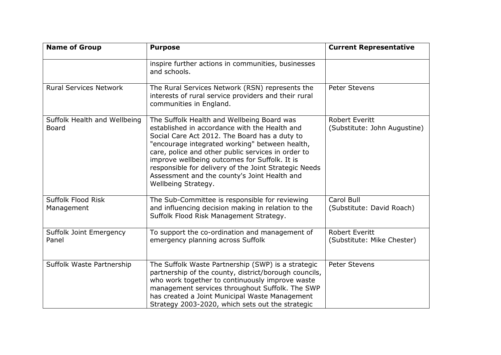| <b>Name of Group</b>                         | <b>Purpose</b>                                                                                                                                                                                                                                                                                                                                                                                                                        | <b>Current Representative</b>                         |
|----------------------------------------------|---------------------------------------------------------------------------------------------------------------------------------------------------------------------------------------------------------------------------------------------------------------------------------------------------------------------------------------------------------------------------------------------------------------------------------------|-------------------------------------------------------|
|                                              | inspire further actions in communities, businesses<br>and schools.                                                                                                                                                                                                                                                                                                                                                                    |                                                       |
| <b>Rural Services Network</b>                | The Rural Services Network (RSN) represents the<br>interests of rural service providers and their rural<br>communities in England.                                                                                                                                                                                                                                                                                                    | <b>Peter Stevens</b>                                  |
| Suffolk Health and Wellbeing<br><b>Board</b> | The Suffolk Health and Wellbeing Board was<br>established in accordance with the Health and<br>Social Care Act 2012. The Board has a duty to<br>"encourage integrated working" between health,<br>care, police and other public services in order to<br>improve wellbeing outcomes for Suffolk. It is<br>responsible for delivery of the Joint Strategic Needs<br>Assessment and the county's Joint Health and<br>Wellbeing Strategy. | <b>Robert Everitt</b><br>(Substitute: John Augustine) |
| Suffolk Flood Risk<br>Management             | The Sub-Committee is responsible for reviewing<br>and influencing decision making in relation to the<br>Suffolk Flood Risk Management Strategy.                                                                                                                                                                                                                                                                                       | Carol Bull<br>(Substitute: David Roach)               |
| Suffolk Joint Emergency<br>Panel             | To support the co-ordination and management of<br>emergency planning across Suffolk                                                                                                                                                                                                                                                                                                                                                   | <b>Robert Everitt</b><br>(Substitute: Mike Chester)   |
| Suffolk Waste Partnership                    | The Suffolk Waste Partnership (SWP) is a strategic<br>partnership of the county, district/borough councils,<br>who work together to continuously improve waste<br>management services throughout Suffolk. The SWP<br>has created a Joint Municipal Waste Management<br>Strategy 2003-2020, which sets out the strategic                                                                                                               | <b>Peter Stevens</b>                                  |